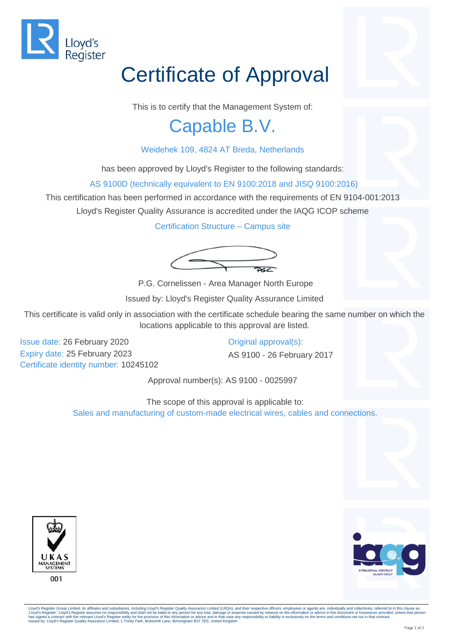

## Certificate of Approval

This is to certify that the Management System of:

## Capable B.V.

## Weidehek 109, 4824 AT Breda, Netherlands

has been approved by Lloyd's Register to the following standards:

AS 9100D (technically equivalent to EN 9100:2018 and JISQ 9100:2016)

This certification has been performed in accordance with the requirements of EN 9104-001:2013

Lloyd's Register Quality Assurance is accredited under the IAQG ICOP scheme

Certification Structure – Campus site



P.G. Cornelissen - Area Manager North Europe

Issued by: Lloyd's Register Quality Assurance Limited

This certificate is valid only in association with the certificate schedule bearing the same number on which the locations applicable to this approval are listed.

Issue date: 26 February 2020 Expiry date: 25 February 2023 Certificate identity number: 10245102 Original approval(s):

AS 9100 - 26 February 2017

Approval number(s): AS 9100 - 0025997

The scope of this approval is applicable to: Sales and manufacturing of custom-made electrical wires, cables and connections.





Lloyd's Register Group Limited, its affiliates and subsidiaries, including Lloyd's Register Quality Assurance Limited (LRQA), and their respective officers, employees or agents are, individually and collectively, referred 'Lloyd's Register'. Lloyd's Register assumes no responsibility and shall not be liable to any person for any loss, damage or expense caused by reliance on the information or advice in this document or howsoever provided, u